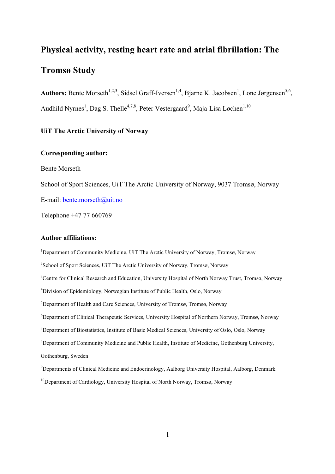# **Physical activity, resting heart rate and atrial fibrillation: The**

# **Tromsø Study**

Authors: Bente Morseth<sup>1,2,3</sup>, Sidsel Graff-Iversen<sup>1,4</sup>, Bjarne K. Jacobsen<sup>1</sup>, Lone Jørgensen<sup>5,6</sup>, Audhild Nyrnes<sup>1</sup>, Dag S. Thelle<sup>4,7,8</sup>, Peter Vestergaard<sup>9</sup>, Maja-Lisa Løchen<sup>1,10</sup>

# **UiT The Arctic University of Norway**

## **Corresponding author:**

Bente Morseth

School of Sport Sciences, UiT The Arctic University of Norway, 9037 Tromsø, Norway

E-mail: bente.morseth@uit.no

Telephone +47 77 660769

# **Author affiliations:**

<sup>1</sup>Department of Community Medicine, UiT The Arctic University of Norway, Tromsø, Norway <sup>2</sup>School of Sport Sciences, UiT The Arctic University of Norway, Tromsø, Norway <sup>3</sup>Centre for Clinical Research and Education, University Hospital of North Norway Trust, Tromsø, Norway <sup>4</sup>Division of Epidemiology, Norwegian Institute of Public Health, Oslo, Norway 5 Department of Health and Care Sciences, University of Tromsø, Tromsø, Norway 6 Department of Clinical Therapeutic Services, University Hospital of Northern Norway, Tromsø, Norway <sup>7</sup>Department of Biostatistics, Institute of Basic Medical Sciences, University of Oslo, Oslo, Norway <sup>8</sup>Department of Community Medicine and Public Health, Institute of Medicine, Gothenburg University, Gothenburg, Sweden <sup>9</sup>Departments of Clinical Medicine and Endocrinology, Aalborg University Hospital, Aalborg, Denmark

<sup>10</sup>Department of Cardiology, University Hospital of North Norway, Tromsø, Norway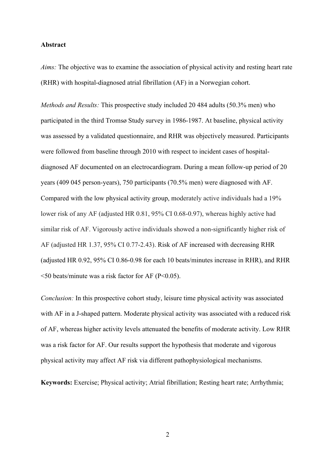#### **Abstract**

*Aims:* The objective was to examine the association of physical activity and resting heart rate (RHR) with hospital-diagnosed atrial fibrillation (AF) in a Norwegian cohort.

*Methods and Results:* This prospective study included 20 484 adults (50.3% men) who participated in the third Tromsø Study survey in 1986-1987. At baseline, physical activity was assessed by a validated questionnaire, and RHR was objectively measured. Participants were followed from baseline through 2010 with respect to incident cases of hospitaldiagnosed AF documented on an electrocardiogram. During a mean follow-up period of 20 years (409 045 person-years), 750 participants (70.5% men) were diagnosed with AF. Compared with the low physical activity group, moderately active individuals had a 19% lower risk of any AF (adjusted HR 0.81, 95% CI 0.68-0.97), whereas highly active had similar risk of AF. Vigorously active individuals showed a non-significantly higher risk of AF (adjusted HR 1.37, 95% CI 0.77-2.43). Risk of AF increased with decreasing RHR (adjusted HR 0.92, 95% CI 0.86-0.98 for each 10 beats/minutes increase in RHR), and RHR  $\leq$ 50 beats/minute was a risk factor for AF (P $\leq$ 0.05).

*Conclusion:* In this prospective cohort study, leisure time physical activity was associated with AF in a J-shaped pattern. Moderate physical activity was associated with a reduced risk of AF, whereas higher activity levels attenuated the benefits of moderate activity. Low RHR was a risk factor for AF. Our results support the hypothesis that moderate and vigorous physical activity may affect AF risk via different pathophysiological mechanisms.

**Keywords:** Exercise; Physical activity; Atrial fibrillation; Resting heart rate; Arrhythmia;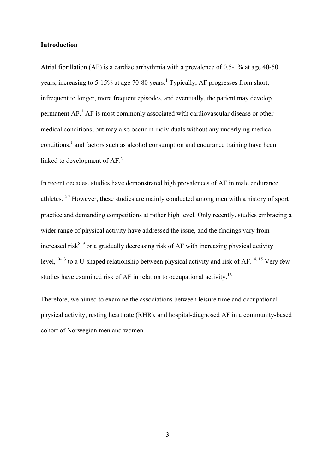#### **Introduction**

Atrial fibrillation (AF) is a cardiac arrhythmia with a prevalence of 0.5-1% at age 40-50 years, increasing to 5-15% at age 70-80 years.<sup>1</sup> Typically, AF progresses from short, infrequent to longer, more frequent episodes, and eventually, the patient may develop permanent  $AF<sup>1</sup>$  AF is most commonly associated with cardiovascular disease or other medical conditions, but may also occur in individuals without any underlying medical conditions,<sup>1</sup> and factors such as alcohol consumption and endurance training have been linked to development of AF.<sup>2</sup>

In recent decades, studies have demonstrated high prevalences of AF in male endurance athletes. 2-7 However, these studies are mainly conducted among men with a history of sport practice and demanding competitions at rather high level. Only recently, studies embracing a wider range of physical activity have addressed the issue, and the findings vary from increased risk<sup>8, 9</sup> or a gradually decreasing risk of AF with increasing physical activity level,  $^{10-13}$  to a U-shaped relationship between physical activity and risk of AF.  $^{14, 15}$  Very few studies have examined risk of AF in relation to occupational activity.<sup>16</sup>

Therefore, we aimed to examine the associations between leisure time and occupational physical activity, resting heart rate (RHR), and hospital-diagnosed AF in a community-based cohort of Norwegian men and women.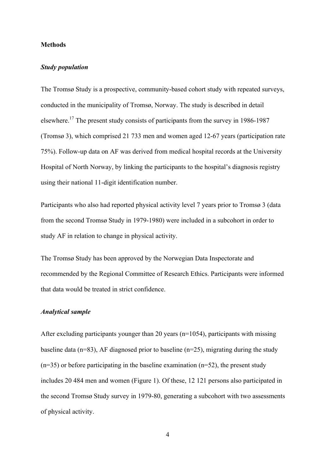#### **Methods**

## *Study population*

The Tromsø Study is a prospective, community-based cohort study with repeated surveys, conducted in the municipality of Tromsø, Norway. The study is described in detail elsewhere.<sup>17</sup> The present study consists of participants from the survey in 1986-1987 (Tromsø 3), which comprised 21 733 men and women aged 12-67 years (participation rate 75%). Follow-up data on AF was derived from medical hospital records at the University Hospital of North Norway, by linking the participants to the hospital's diagnosis registry using their national 11-digit identification number.

Participants who also had reported physical activity level 7 years prior to Tromsø 3 (data from the second Tromsø Study in 1979-1980) were included in a subcohort in order to study AF in relation to change in physical activity.

The Tromsø Study has been approved by the Norwegian Data Inspectorate and recommended by the Regional Committee of Research Ethics. Participants were informed that data would be treated in strict confidence.

## *Analytical sample*

After excluding participants younger than 20 years (n=1054), participants with missing baseline data ( $n=83$ ), AF diagnosed prior to baseline ( $n=25$ ), migrating during the study  $(n=35)$  or before participating in the baseline examination  $(n=52)$ , the present study includes 20 484 men and women (Figure 1). Of these, 12 121 persons also participated in the second Tromsø Study survey in 1979-80, generating a subcohort with two assessments of physical activity.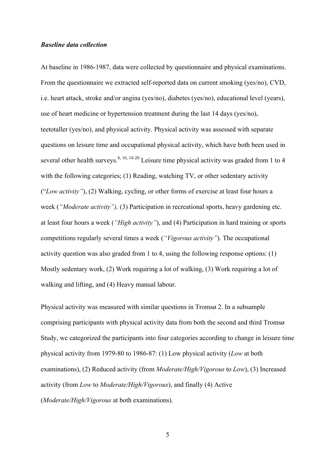#### *Baseline data collection*

At baseline in 1986-1987, data were collected by questionnaire and physical examinations. From the questionnaire we extracted self-reported data on current smoking (yes/no), CVD, i.e. heart attack, stroke and/or angina (yes/no), diabetes (yes/no), educational level (years), use of heart medicine or hypertension treatment during the last 14 days (yes/no), teetotaller (yes/no), and physical activity. Physical activity was assessed with separate questions on leisure time and occupational physical activity, which have both been used in several other health surveys.<sup>8, 16, 18-20</sup> Leisure time physical activity was graded from 1 to 4 with the following categories; (1) Reading, watching TV, or other sedentary activity ("*Low activity"*), (2) Walking, cycling, or other forms of exercise at least four hours a week (*"Moderate activity"),* (3) Participation in recreational sports, heavy gardening etc. at least four hours a week (*"High activity"*), and (4) Participation in hard training or sports competitions regularly several times a week (*"Vigorous activity"*). The occupational activity question was also graded from 1 to 4, using the following response options: (1) Mostly sedentary work, (2) Work requiring a lot of walking, (3) Work requiring a lot of walking and lifting, and (4) Heavy manual labour.

Physical activity was measured with similar questions in Tromsø 2. In a subsample comprising participants with physical activity data from both the second and third Tromsø Study, we categorized the participants into four categories according to change in leisure time physical activity from 1979-80 to 1986-87: (1) Low physical activity (*Low* at both examinations), (2) Reduced activity (from *Moderate/High/Vigorous* to *Low*), (3) Increased activity (from *Low* to *Moderate/High/Vigorous*), and finally (4) Active (*Moderate/High/Vigorous* at both examinations).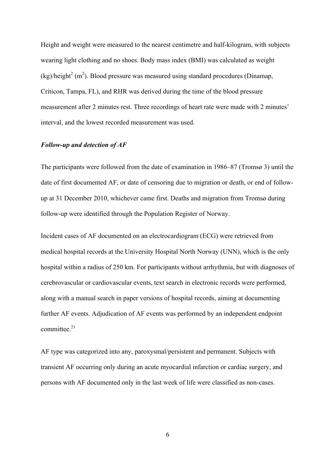Height and weight were measured to the nearest centimetre and half-kilogram, with subjects wearing light clothing and no shoes. Body mass index (BMI) was calculated as weight  $(kg)/height<sup>2</sup>$  (m<sup>2</sup>). Blood pressure was measured using standard procedures (Dinamap, Criticon, Tampa, FL), and RHR was derived during the time of the blood pressure measurement after 2 minutes rest. Three recordings of heart rate were made with 2 minutes' interval, and the lowest recorded measurement was used.

## *Follow-up and detection of AF*

The participants were followed from the date of examination in 1986–87 (Tromsø 3) until the date of first documented AF, or date of censoring due to migration or death, or end of followup at 31 December 2010, whichever came first. Deaths and migration from Tromsø during follow-up were identified through the Population Register of Norway.

Incident cases of AF documented on an electrocardiogram (ECG) were retrieved from medical hospital records at the University Hospital North Norway (UNN), which is the only hospital within a radius of 250 km. For participants without arrhythmia, but with diagnoses of cerebrovascular or cardiovascular events, text search in electronic records were performed, along with a manual search in paper versions of hospital records, aiming at documenting further AF events. Adjudication of AF events was performed by an independent endpoint committee $^{21}$ 

AF type was categorized into any, paroxysmal/persistent and permanent. Subjects with transient AF occurring only during an acute myocardial infarction or cardiac surgery, and persons with AF documented only in the last week of life were classified as non-cases.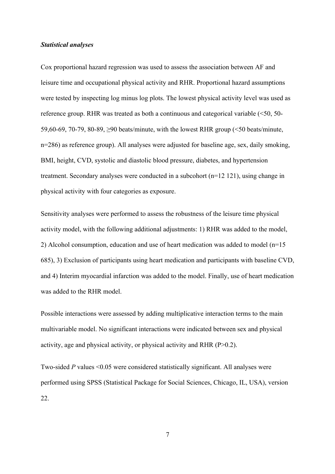#### *Statistical analyses*

Cox proportional hazard regression was used to assess the association between AF and leisure time and occupational physical activity and RHR. Proportional hazard assumptions were tested by inspecting log minus log plots. The lowest physical activity level was used as reference group. RHR was treated as both a continuous and categorical variable (<50, 50- 59,60-69, 70-79, 80-89, ≥90 beats/minute, with the lowest RHR group (<50 beats/minute, n=286) as reference group). All analyses were adjusted for baseline age, sex, daily smoking, BMI, height, CVD, systolic and diastolic blood pressure, diabetes, and hypertension treatment. Secondary analyses were conducted in a subcohort (n=12 121), using change in physical activity with four categories as exposure.

Sensitivity analyses were performed to assess the robustness of the leisure time physical activity model, with the following additional adjustments: 1) RHR was added to the model, 2) Alcohol consumption, education and use of heart medication was added to model (n=15 685), 3) Exclusion of participants using heart medication and participants with baseline CVD, and 4) Interim myocardial infarction was added to the model. Finally, use of heart medication was added to the RHR model.

Possible interactions were assessed by adding multiplicative interaction terms to the main multivariable model. No significant interactions were indicated between sex and physical activity, age and physical activity, or physical activity and RHR (P>0.2).

Two-sided *P* values <0.05 were considered statistically significant. All analyses were performed using SPSS (Statistical Package for Social Sciences, Chicago, IL, USA), version 22.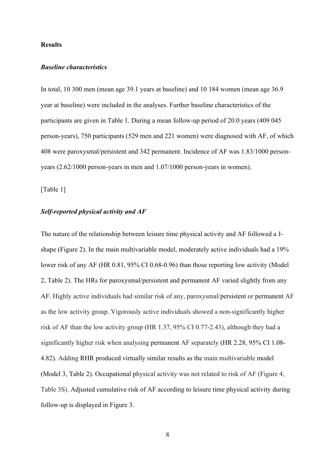#### **Results**

#### *Baseline characteristics*

In total, 10 300 men (mean age 39.1 years at baseline) and 10 184 women (mean age 36.9 year at baseline) were included in the analyses. Further baseline characteristics of the participants are given in Table 1. During a mean follow-up period of 20.0 years (409 045 person-years), 750 participants (529 men and 221 women) were diagnosed with AF, of which 408 were paroxysmal/persistent and 342 permanent. Incidence of AF was 1.83/1000 personyears (2.62/1000 person-years in men and 1.07/1000 person-years in women).

[Table 1]

#### *Self-reported physical activity and AF*

The nature of the relationship between leisure time physical activity and AF followed a Jshape (Figure 2). In the main multivariable model, moderately active individuals had a 19% lower risk of any AF (HR 0.81, 95% CI 0.68-0.96) than those reporting low activity (Model 2, Table 2). The HRs for paroxysmal/persistent and permanent AF varied slightly from any AF. Highly active individuals had similar risk of any, paroxysmal/persistent or permanent AF as the low activity group. Vigorously active individuals showed a non-significantly higher risk of AF than the low activity group (HR 1.37, 95% CI 0.77-2.43), although they had a significantly higher risk when analysing permanent AF separately (HR 2.28, 95% CI 1.08- 4.82). Adding RHR produced virtually similar results as the main multivariable model (Model 3, Table 2). Occupational physical activity was not related to risk of AF (Figure 4, Table 3S). Adjusted cumulative risk of AF according to leisure time physical activity during follow-up is displayed in Figure 3.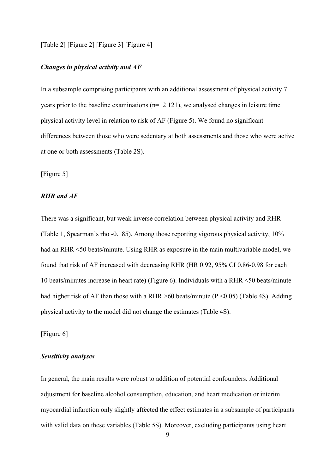#### [Table 2] [Figure 2] [Figure 3] [Figure 4]

#### *Changes in physical activity and AF*

In a subsample comprising participants with an additional assessment of physical activity 7 years prior to the baseline examinations (n=12 121), we analysed changes in leisure time physical activity level in relation to risk of AF (Figure 5). We found no significant differences between those who were sedentary at both assessments and those who were active at one or both assessments (Table 2S).

[Figure 5]

# *RHR and AF*

There was a significant, but weak inverse correlation between physical activity and RHR (Table 1, Spearman's rho -0.185). Among those reporting vigorous physical activity, 10% had an RHR <50 beats/minute. Using RHR as exposure in the main multivariable model, we found that risk of AF increased with decreasing RHR (HR 0.92, 95% CI 0.86-0.98 for each 10 beats/minutes increase in heart rate) (Figure 6). Individuals with a RHR <50 beats/minute had higher risk of AF than those with a RHR  $>60$  beats/minute (P < 0.05) (Table 4S). Adding physical activity to the model did not change the estimates (Table 4S).

[Figure 6]

#### *Sensitivity analyses*

In general, the main results were robust to addition of potential confounders. Additional adjustment for baseline alcohol consumption, education, and heart medication or interim myocardial infarction only slightly affected the effect estimates in a subsample of participants with valid data on these variables (Table 5S). Moreover, excluding participants using heart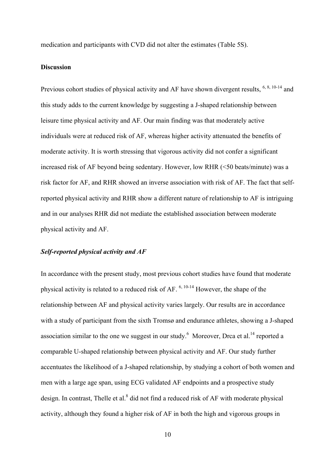medication and participants with CVD did not alter the estimates (Table 5S).

## **Discussion**

Previous cohort studies of physical activity and AF have shown divergent results,  $^{6, 8, 10-14}$  and this study adds to the current knowledge by suggesting a J-shaped relationship between leisure time physical activity and AF. Our main finding was that moderately active individuals were at reduced risk of AF, whereas higher activity attenuated the benefits of moderate activity. It is worth stressing that vigorous activity did not confer a significant increased risk of AF beyond being sedentary. However, low RHR (<50 beats/minute) was a risk factor for AF, and RHR showed an inverse association with risk of AF. The fact that selfreported physical activity and RHR show a different nature of relationship to AF is intriguing and in our analyses RHR did not mediate the established association between moderate physical activity and AF.

#### *Self-reported physical activity and AF*

In accordance with the present study, most previous cohort studies have found that moderate physical activity is related to a reduced risk of AF. 6, 10-14 However, the shape of the relationship between AF and physical activity varies largely. Our results are in accordance with a study of participant from the sixth Tromsø and endurance athletes, showing a J-shaped association similar to the one we suggest in our study. Moreover, Drca et al.<sup>14</sup> reported a comparable U-shaped relationship between physical activity and AF. Our study further accentuates the likelihood of a J-shaped relationship, by studying a cohort of both women and men with a large age span, using ECG validated AF endpoints and a prospective study design. In contrast, Thelle et al. $^8$  did not find a reduced risk of AF with moderate physical activity, although they found a higher risk of AF in both the high and vigorous groups in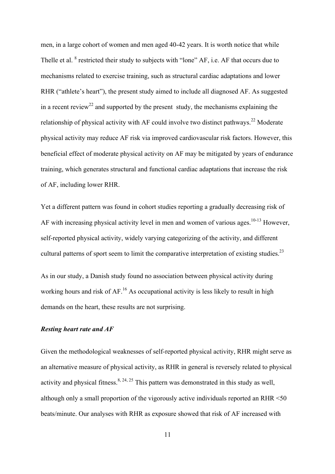men, in a large cohort of women and men aged 40-42 years. It is worth notice that while Thelle et al. <sup>8</sup> restricted their study to subjects with "lone" AF, i.e. AF that occurs due to mechanisms related to exercise training, such as structural cardiac adaptations and lower RHR ("athlete's heart"), the present study aimed to include all diagnosed AF. As suggested in a recent review<sup>22</sup> and supported by the present study, the mechanisms explaining the relationship of physical activity with AF could involve two distinct pathways.<sup>22</sup> Moderate physical activity may reduce AF risk via improved cardiovascular risk factors. However, this beneficial effect of moderate physical activity on AF may be mitigated by years of endurance training, which generates structural and functional cardiac adaptations that increase the risk of AF, including lower RHR.

Yet a different pattern was found in cohort studies reporting a gradually decreasing risk of AF with increasing physical activity level in men and women of various ages.<sup>10-13</sup> However, self-reported physical activity, widely varying categorizing of the activity, and different cultural patterns of sport seem to limit the comparative interpretation of existing studies.<sup>23</sup>

As in our study, a Danish study found no association between physical activity during working hours and risk of AF.<sup>16</sup> As occupational activity is less likely to result in high demands on the heart, these results are not surprising.

## *Resting heart rate and AF*

Given the methodological weaknesses of self-reported physical activity, RHR might serve as an alternative measure of physical activity, as RHR in general is reversely related to physical activity and physical fitness.<sup>8, 24, 25</sup> This pattern was demonstrated in this study as well, although only a small proportion of the vigorously active individuals reported an RHR <50 beats/minute. Our analyses with RHR as exposure showed that risk of AF increased with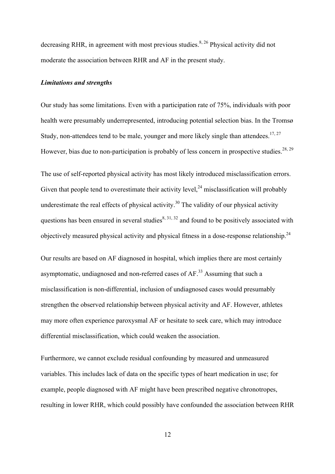decreasing RHR, in agreement with most previous studies.<sup>8, 26</sup> Physical activity did not moderate the association between RHR and AF in the present study.

#### *Limitations and strengths*

Our study has some limitations. Even with a participation rate of 75%, individuals with poor health were presumably underrepresented, introducing potential selection bias. In the Tromsø Study, non-attendees tend to be male, younger and more likely single than attendees.<sup>17, 27</sup> However, bias due to non-participation is probably of less concern in prospective studies.<sup>28, 29</sup>

The use of self-reported physical activity has most likely introduced misclassification errors. Given that people tend to overestimate their activity level,  $24$  misclassification will probably underestimate the real effects of physical activity.<sup>30</sup> The validity of our physical activity questions has been ensured in several studies<sup>8, 31, 32</sup> and found to be positively associated with objectively measured physical activity and physical fitness in a dose-response relationship.<sup>24</sup>

Our results are based on AF diagnosed in hospital, which implies there are most certainly asymptomatic, undiagnosed and non-referred cases of  $AF$ .<sup>33</sup> Assuming that such a misclassification is non-differential, inclusion of undiagnosed cases would presumably strengthen the observed relationship between physical activity and AF. However, athletes may more often experience paroxysmal AF or hesitate to seek care, which may introduce differential misclassification, which could weaken the association.

Furthermore, we cannot exclude residual confounding by measured and unmeasured variables. This includes lack of data on the specific types of heart medication in use; for example, people diagnosed with AF might have been prescribed negative chronotropes, resulting in lower RHR, which could possibly have confounded the association between RHR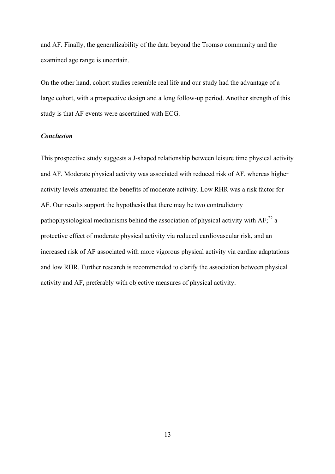and AF. Finally, the generalizability of the data beyond the Tromsø community and the examined age range is uncertain.

On the other hand, cohort studies resemble real life and our study had the advantage of a large cohort, with a prospective design and a long follow-up period. Another strength of this study is that AF events were ascertained with ECG.

# *Conclusion*

This prospective study suggests a J-shaped relationship between leisure time physical activity and AF. Moderate physical activity was associated with reduced risk of AF, whereas higher activity levels attenuated the benefits of moderate activity. Low RHR was a risk factor for AF. Our results support the hypothesis that there may be two contradictory pathophysiological mechanisms behind the association of physical activity with  $AF<sub>i</sub><sup>22</sup>$  a protective effect of moderate physical activity via reduced cardiovascular risk, and an increased risk of AF associated with more vigorous physical activity via cardiac adaptations and low RHR. Further research is recommended to clarify the association between physical activity and AF, preferably with objective measures of physical activity.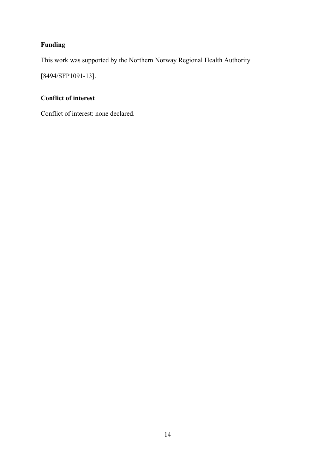# **Funding**

This work was supported by the Northern Norway Regional Health Authority

[8494/SFP1091-13].

# **Conflict of interest**

Conflict of interest: none declared.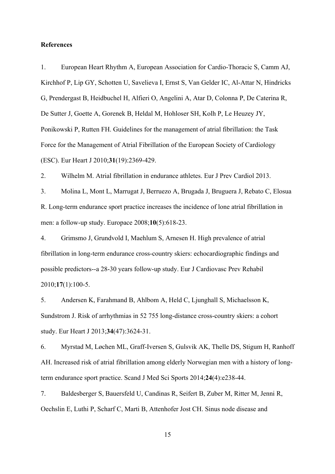#### **References**

1. European Heart Rhythm A, European Association for Cardio-Thoracic S, Camm AJ, Kirchhof P, Lip GY, Schotten U, Savelieva I, Ernst S, Van Gelder IC, Al-Attar N, Hindricks G, Prendergast B, Heidbuchel H, Alfieri O, Angelini A, Atar D, Colonna P, De Caterina R, De Sutter J, Goette A, Gorenek B, Heldal M, Hohloser SH, Kolh P, Le Heuzey JY, Ponikowski P, Rutten FH. Guidelines for the management of atrial fibrillation: the Task Force for the Management of Atrial Fibrillation of the European Society of Cardiology (ESC). Eur Heart J 2010;**31**(19):2369-429.

2. Wilhelm M. Atrial fibrillation in endurance athletes. Eur J Prev Cardiol 2013.

3. Molina L, Mont L, Marrugat J, Berruezo A, Brugada J, Bruguera J, Rebato C, Elosua R. Long-term endurance sport practice increases the incidence of lone atrial fibrillation in men: a follow-up study. Europace 2008;**10**(5):618-23.

4. Grimsmo J, Grundvold I, Maehlum S, Arnesen H. High prevalence of atrial fibrillation in long-term endurance cross-country skiers: echocardiographic findings and possible predictors--a 28-30 years follow-up study. Eur J Cardiovasc Prev Rehabil 2010;**17**(1):100-5.

5. Andersen K, Farahmand B, Ahlbom A, Held C, Ljunghall S, Michaelsson K, Sundstrom J. Risk of arrhythmias in 52 755 long-distance cross-country skiers: a cohort study. Eur Heart J 2013;**34**(47):3624-31.

6. Myrstad M, Løchen ML, Graff-Iversen S, Gulsvik AK, Thelle DS, Stigum H, Ranhoff AH. Increased risk of atrial fibrillation among elderly Norwegian men with a history of longterm endurance sport practice. Scand J Med Sci Sports 2014;**24**(4):e238-44.

7. Baldesberger S, Bauersfeld U, Candinas R, Seifert B, Zuber M, Ritter M, Jenni R, Oechslin E, Luthi P, Scharf C, Marti B, Attenhofer Jost CH. Sinus node disease and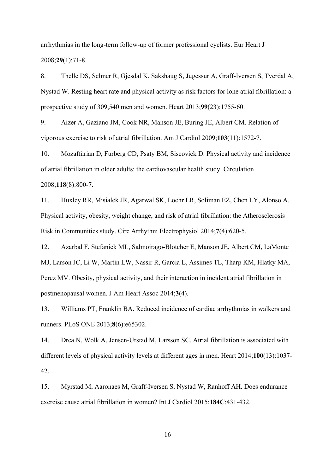arrhythmias in the long-term follow-up of former professional cyclists. Eur Heart J 2008;**29**(1):71-8.

8. Thelle DS, Selmer R, Gjesdal K, Sakshaug S, Jugessur A, Graff-Iversen S, Tverdal A, Nystad W. Resting heart rate and physical activity as risk factors for lone atrial fibrillation: a prospective study of 309,540 men and women. Heart 2013;**99**(23):1755-60.

9. Aizer A, Gaziano JM, Cook NR, Manson JE, Buring JE, Albert CM. Relation of vigorous exercise to risk of atrial fibrillation. Am J Cardiol 2009;**103**(11):1572-7.

10. Mozaffarian D, Furberg CD, Psaty BM, Siscovick D. Physical activity and incidence of atrial fibrillation in older adults: the cardiovascular health study. Circulation 2008;**118**(8):800-7.

11. Huxley RR, Misialek JR, Agarwal SK, Loehr LR, Soliman EZ, Chen LY, Alonso A. Physical activity, obesity, weight change, and risk of atrial fibrillation: the Atherosclerosis Risk in Communities study. Circ Arrhythm Electrophysiol 2014;**7**(4):620-5.

12. Azarbal F, Stefanick ML, Salmoirago-Blotcher E, Manson JE, Albert CM, LaMonte MJ, Larson JC, Li W, Martin LW, Nassir R, Garcia L, Assimes TL, Tharp KM, Hlatky MA, Perez MV. Obesity, physical activity, and their interaction in incident atrial fibrillation in postmenopausal women. J Am Heart Assoc 2014;**3**(4).

13. Williams PT, Franklin BA. Reduced incidence of cardiac arrhythmias in walkers and runners. PLoS ONE 2013;**8**(6):e65302.

14. Drca N, Wolk A, Jensen-Urstad M, Larsson SC. Atrial fibrillation is associated with different levels of physical activity levels at different ages in men. Heart 2014;**100**(13):1037- 42.

15. Myrstad M, Aaronaes M, Graff-Iversen S, Nystad W, Ranhoff AH. Does endurance exercise cause atrial fibrillation in women? Int J Cardiol 2015;**184C**:431-432.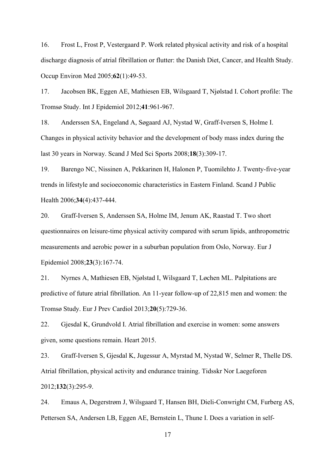16. Frost L, Frost P, Vestergaard P. Work related physical activity and risk of a hospital discharge diagnosis of atrial fibrillation or flutter: the Danish Diet, Cancer, and Health Study. Occup Environ Med 2005;**62**(1):49-53.

17. Jacobsen BK, Eggen AE, Mathiesen EB, Wilsgaard T, Njølstad I. Cohort profile: The Tromsø Study. Int J Epidemiol 2012;**41**:961-967.

18. Anderssen SA, Engeland A, Søgaard AJ, Nystad W, Graff-Iversen S, Holme I. Changes in physical activity behavior and the development of body mass index during the last 30 years in Norway. Scand J Med Sci Sports 2008;**18**(3):309-17.

19. Barengo NC, Nissinen A, Pekkarinen H, Halonen P, Tuomilehto J. Twenty-five-year trends in lifestyle and socioeconomic characteristics in Eastern Finland. Scand J Public Health 2006;**34**(4):437-444.

20. Graff-Iversen S, Anderssen SA, Holme IM, Jenum AK, Raastad T. Two short questionnaires on leisure-time physical activity compared with serum lipids, anthropometric measurements and aerobic power in a suburban population from Oslo, Norway. Eur J Epidemiol 2008;**23**(3):167-74.

21. Nyrnes A, Mathiesen EB, Njølstad I, Wilsgaard T, Løchen ML. Palpitations are predictive of future atrial fibrillation. An 11-year follow-up of 22,815 men and women: the Tromsø Study. Eur J Prev Cardiol 2013;**20**(5):729-36.

22. Gjesdal K, Grundvold I. Atrial fibrillation and exercise in women: some answers given, some questions remain. Heart 2015.

23. Graff-Iversen S, Gjesdal K, Jugessur A, Myrstad M, Nystad W, Selmer R, Thelle DS. Atrial fibrillation, physical activity and endurance training. Tidsskr Nor Laegeforen 2012;**132**(3):295-9.

24. Emaus A, Degerstrøm J, Wilsgaard T, Hansen BH, Dieli-Conwright CM, Furberg AS, Pettersen SA, Andersen LB, Eggen AE, Bernstein L, Thune I. Does a variation in self-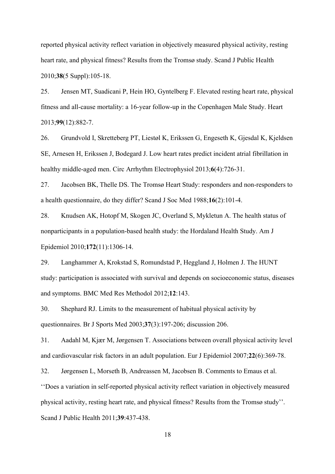reported physical activity reflect variation in objectively measured physical activity, resting heart rate, and physical fitness? Results from the Tromsø study. Scand J Public Health 2010;**38**(5 Suppl):105-18.

25. Jensen MT, Suadicani P, Hein HO, Gyntelberg F. Elevated resting heart rate, physical fitness and all-cause mortality: a 16-year follow-up in the Copenhagen Male Study. Heart 2013;**99**(12):882-7.

26. Grundvold I, Skretteberg PT, Liestøl K, Erikssen G, Engeseth K, Gjesdal K, Kjeldsen SE, Arnesen H, Erikssen J, Bodegard J. Low heart rates predict incident atrial fibrillation in healthy middle-aged men. Circ Arrhythm Electrophysiol 2013;**6**(4):726-31.

27. Jacobsen BK, Thelle DS. The Tromsø Heart Study: responders and non-responders to a health questionnaire, do they differ? Scand J Soc Med 1988;**16**(2):101-4.

28. Knudsen AK, Hotopf M, Skogen JC, Overland S, Mykletun A. The health status of nonparticipants in a population-based health study: the Hordaland Health Study. Am J Epidemiol 2010;**172**(11):1306-14.

29. Langhammer A, Krokstad S, Romundstad P, Heggland J, Holmen J. The HUNT study: participation is associated with survival and depends on socioeconomic status, diseases and symptoms. BMC Med Res Methodol 2012;**12**:143.

30. Shephard RJ. Limits to the measurement of habitual physical activity by questionnaires. Br J Sports Med 2003;**37**(3):197-206; discussion 206.

31. Aadahl M, Kjær M, Jørgensen T. Associations between overall physical activity level and cardiovascular risk factors in an adult population. Eur J Epidemiol 2007;**22**(6):369-78.

32. Jørgensen L, Morseth B, Andreassen M, Jacobsen B. Comments to Emaus et al.

''Does a variation in self-reported physical activity reflect variation in objectively measured physical activity, resting heart rate, and physical fitness? Results from the Tromsø study''. Scand J Public Health 2011;**39**:437-438.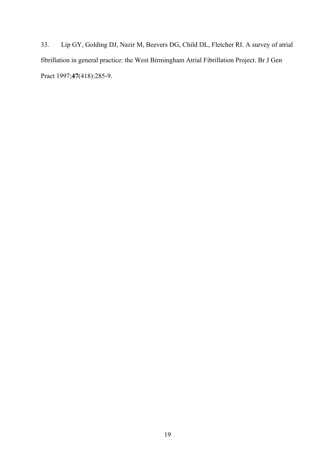33. Lip GY, Golding DJ, Nazir M, Beevers DG, Child DL, Fletcher RI. A survey of atrial fibrillation in general practice: the West Birmingham Atrial Fibrillation Project. Br J Gen Pract 1997;**47**(418):285-9.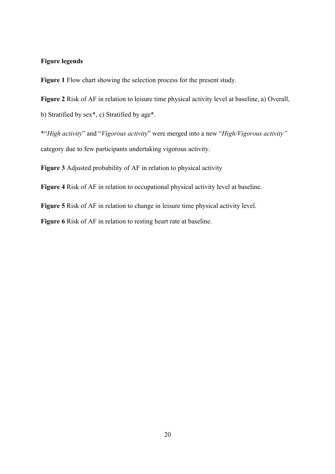# **Figure legends**

**Figure 1** Flow chart showing the selection process for the present study.

**Figure 2** Risk of AF in relation to leisure time physical activity level at baseline, a) Overall,

b) Stratified by sex\*, c) Stratified by age\*.

\*"*High activity*" and "*Vigorous activity*" were merged into a new "*High/Vigorous activity"* category due to few participants undertaking vigorous activity.

**Figure 3** Adjusted probability of AF in relation to physical activity

**Figure 4** Risk of AF in relation to occupational physical activity level at baseline.

**Figure 5** Risk of AF in relation to change in leisure time physical activity level.

**Figure 6** Risk of AF in relation to resting heart rate at baseline.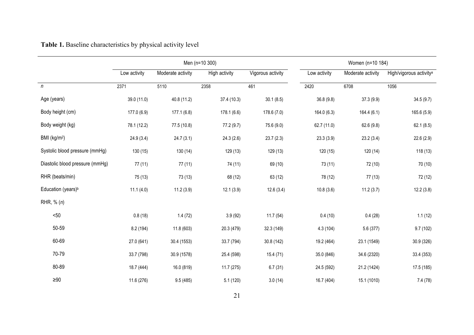|                                 | Men (n=10 300) |                   |               |                   | Women (n=10 184) |                   |                                     |  |
|---------------------------------|----------------|-------------------|---------------|-------------------|------------------|-------------------|-------------------------------------|--|
|                                 | Low activity   | Moderate activity | High activity | Vigorous activity | Low activity     | Moderate activity | High/vigorous activity <sup>a</sup> |  |
| $\boldsymbol{n}$                | 2371           | 5110              | 2358          | 461               | 2420             | 6708              | 1056                                |  |
| Age (years)                     | 39.0 (11.0)    | 40.8 (11.2)       | 37.4 (10.3)   | 30.1(8.5)         | 36.8(9.8)        | 37.3(9.9)         | 34.5(9.7)                           |  |
| Body height (cm)                | 177.0 (6.9)    | 177.1(6.8)        | 178.1(6.6)    | 178.6(7.0)        | 164.0 (6.3)      | 164.4(6.1)        | 165.6 (5.9)                         |  |
| Body weight (kg)                | 78.1 (12.2)    | 77.5 (10.8)       | 77.2 (9.7)    | 75.6 (9.0)        | 62.7 (11.0)      | 62.6(9.8)         | 62.1(8.5)                           |  |
| BMI (kg/m <sup>2</sup> )        | 24.9(3.4)      | 24.7(3.1)         | 24.3(2.6)     | 23.7(2.3)         | 23.3(3.9)        | 23.2(3.4)         | 22.6(2.9)                           |  |
| Systolic blood pressure (mmHg)  | 130(15)        | 130 (14)          | 129 (13)      | 129 (13)          | 120(15)          | 120(14)           | 118(13)                             |  |
| Diastolic blood pressure (mmHg) | 77(11)         | 77(11)            | 74 (11)       | 69 (10)           | 73 (11)          | 72 (10)           | 70 (10)                             |  |
| RHR (beats/min)                 | 75 (13)        | 73(13)            | 68 (12)       | 63 (12)           | 78 (12)          | 77(13)            | 72 (12)                             |  |
| Education (years) <sup>b</sup>  | 11.1(4.0)      | 11.2(3.9)         | 12.1(3.9)     | 12.6(3.4)         | 10.8(3.6)        | 11.2(3.7)         | 12.2(3.8)                           |  |
| RHR, $% (n)$                    |                |                   |               |                   |                  |                   |                                     |  |
| $50$                            | 0.8(18)        | 1.4(72)           | 3.9(92)       | 11.7(54)          | 0.4(10)          | 0.4(28)           | 1.1(12)                             |  |
| 50-59                           | 8.2 (194)      | 11.8 (603)        | 20.3 (479)    | 32.3 (149)        | 4.3(104)         | 5.6 (377)         | 9.7(102)                            |  |
| 60-69                           | 27.0 (641)     | 30.4 (1553)       | 33.7 (794)    | 30.8 (142)        | 19.2 (464)       | 23.1 (1549)       | 30.9 (326)                          |  |
| 70-79                           | 33.7 (798)     | 30.9 (1578)       | 25.4 (598)    | 15.4(71)          | 35.0 (846)       | 34.6 (2320)       | 33.4 (353)                          |  |
| 80-89                           | 18.7 (444)     | 16.0 (819)        | 11.7 (275)    | 6.7(31)           | 24.5 (592)       | 21.2 (1424)       | 17.5 (185)                          |  |
| ${\geq}90$                      | 11.6 (276)     | 9.5(485)          | 5.1(120)      | 3.0(14)           | 16.7 (404)       | 15.1 (1010)       | 7.4(78)                             |  |

# **Table 1.** Baseline characteristics by physical activity level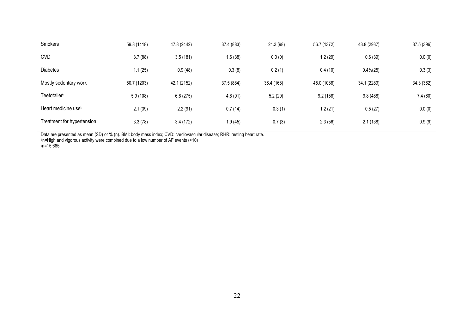| Smokers                         | 59.8 (1418) | 47.8 (2442) | 37.4 (883) | 21.3(98)   | 56.7 (1372) | 43.8 (2937)  | 37.5 (396) |
|---------------------------------|-------------|-------------|------------|------------|-------------|--------------|------------|
| <b>CVD</b>                      | 3.7(88)     | 3.5(181)    | 1.6(38)    | 0.0(0)     | 1.2(29)     | 0.6(39)      | 0.0(0)     |
| <b>Diabetes</b>                 | 1.1(25)     | 0.9(48)     | 0.3(8)     | 0.2(1)     | 0.4(10)     | $0.4\% (25)$ | 0.3(3)     |
| Mostly sedentary work           | 50.7 (1203) | 42.1 (2152) | 37.5 (884) | 36.4 (168) | 45.0 (1088) | 34.1 (2289)  | 34.3 (362) |
| Teetotaller <sup>b</sup>        | 5.9(108)    | 6.8(275)    | 4.8(91)    | 5.2(20)    | 9.2(158)    | 9.8(488)     | 7.4(60)    |
| Heart medicine use <sup>b</sup> | 2.1(39)     | 2.2(91)     | 0.7(14)    | 0.3(1)     | 1.2(21)     | 0.5(27)      | 0.0(0)     |
| Treatment for hypertension      | 3.3(78)     | 3.4(172)    | 1.9(45)    | 0.7(3)     | 2.3(56)     | 2.1(138)     | 0.9(9)     |

Data are presented as mean (SD) or % (n). BMI: body mass index; CVD: cardiovascular disease; RHR: resting heart rate.<br>ªn=High and vigorous activity were combined due to a low number of AF events (<10)

bn=15 685